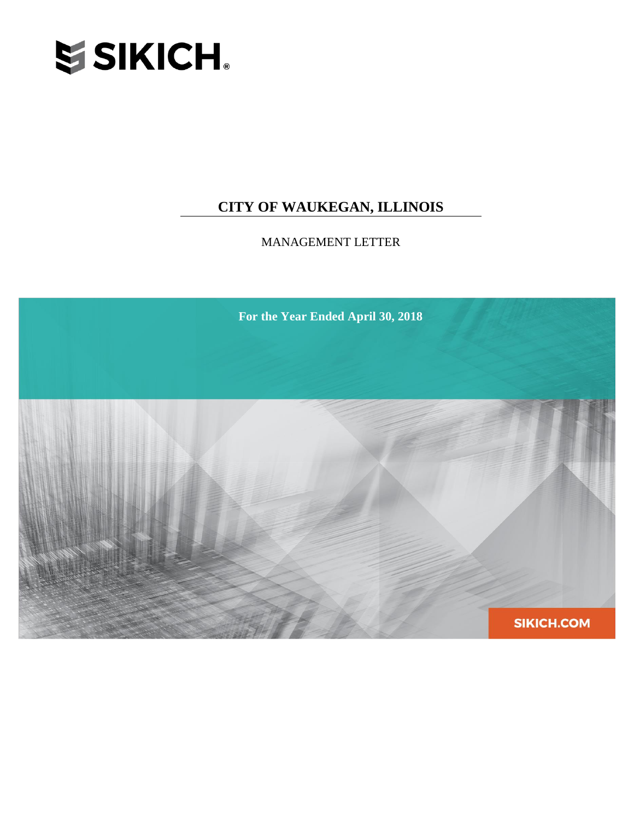

# **CITY OF WAUKEGAN, ILLINOIS**

MANAGEMENT LETTER

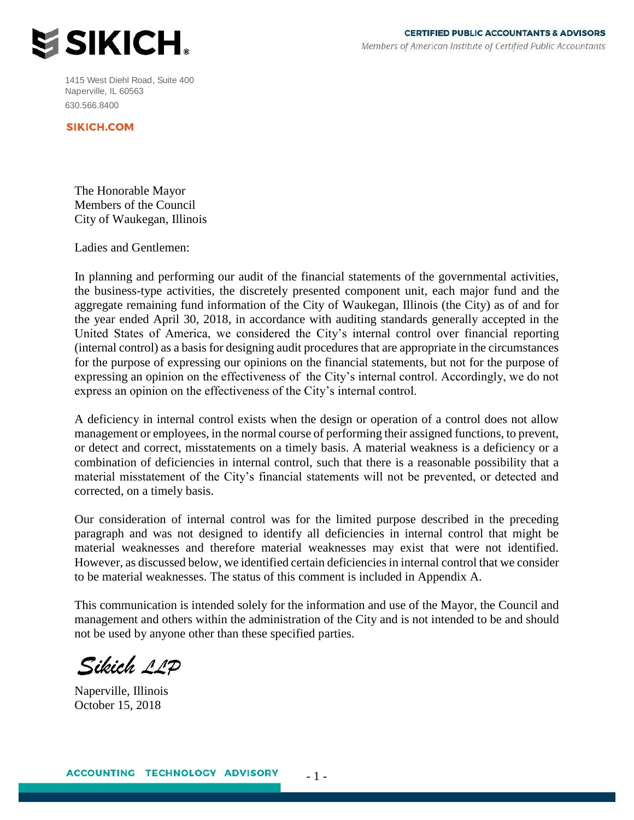

1415 West Diehl Road, Suite 400 Naperville, IL 60563 630.566.8400

**SIKICH.COM** 

The Honorable Mayor Members of the Council City of Waukegan, Illinois

Ladies and Gentlemen:

In planning and performing our audit of the financial statements of the governmental activities, the business-type activities, the discretely presented component unit, each major fund and the aggregate remaining fund information of the City of Waukegan, Illinois (the City) as of and for the year ended April 30, 2018, in accordance with auditing standards generally accepted in the United States of America, we considered the City's internal control over financial reporting (internal control) as a basis for designing audit procedures that are appropriate in the circumstances for the purpose of expressing our opinions on the financial statements, but not for the purpose of expressing an opinion on the effectiveness of the City's internal control. Accordingly, we do not express an opinion on the effectiveness of the City's internal control.

A deficiency in internal control exists when the design or operation of a control does not allow management or employees, in the normal course of performing their assigned functions, to prevent, or detect and correct, misstatements on a timely basis. A material weakness is a deficiency or a combination of deficiencies in internal control, such that there is a reasonable possibility that a material misstatement of the City's financial statements will not be prevented, or detected and corrected, on a timely basis.

Our consideration of internal control was for the limited purpose described in the preceding paragraph and was not designed to identify all deficiencies in internal control that might be material weaknesses and therefore material weaknesses may exist that were not identified. However, as discussed below, we identified certain deficiencies in internal control that we consider to be material weaknesses. The status of this comment is included in Appendix A.

This communication is intended solely for the information and use of the Mayor, the Council and management and others within the administration of the City and is not intended to be and should not be used by anyone other than these specified parties.

Sikich 11P

Naperville, Illinois October 15, 2018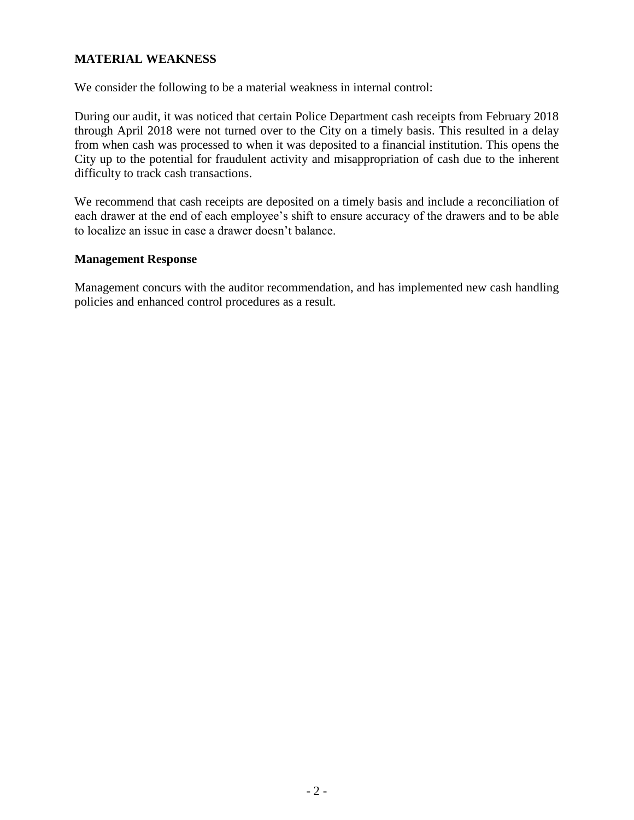## **MATERIAL WEAKNESS**

We consider the following to be a material weakness in internal control:

During our audit, it was noticed that certain Police Department cash receipts from February 2018 through April 2018 were not turned over to the City on a timely basis. This resulted in a delay from when cash was processed to when it was deposited to a financial institution. This opens the City up to the potential for fraudulent activity and misappropriation of cash due to the inherent difficulty to track cash transactions.

We recommend that cash receipts are deposited on a timely basis and include a reconciliation of each drawer at the end of each employee's shift to ensure accuracy of the drawers and to be able to localize an issue in case a drawer doesn't balance.

#### **Management Response**

Management concurs with the auditor recommendation, and has implemented new cash handling policies and enhanced control procedures as a result.